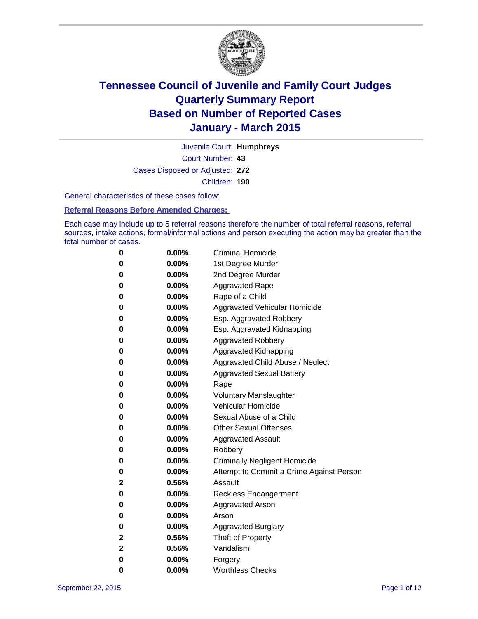

Court Number: **43** Juvenile Court: **Humphreys** Cases Disposed or Adjusted: **272** Children: **190**

General characteristics of these cases follow:

**Referral Reasons Before Amended Charges:** 

Each case may include up to 5 referral reasons therefore the number of total referral reasons, referral sources, intake actions, formal/informal actions and person executing the action may be greater than the total number of cases.

| 0           | $0.00\%$ | <b>Criminal Homicide</b>                 |
|-------------|----------|------------------------------------------|
| $\bf{0}$    | $0.00\%$ | 1st Degree Murder                        |
| $\bf{0}$    | $0.00\%$ | 2nd Degree Murder                        |
| 0           | $0.00\%$ | <b>Aggravated Rape</b>                   |
| 0           | $0.00\%$ | Rape of a Child                          |
| 0           | $0.00\%$ | Aggravated Vehicular Homicide            |
| 0           | $0.00\%$ | Esp. Aggravated Robbery                  |
| 0           | $0.00\%$ | Esp. Aggravated Kidnapping               |
| 0           | 0.00%    | <b>Aggravated Robbery</b>                |
| 0           | $0.00\%$ | Aggravated Kidnapping                    |
| 0           | $0.00\%$ | Aggravated Child Abuse / Neglect         |
| 0           | 0.00%    | <b>Aggravated Sexual Battery</b>         |
| 0           | $0.00\%$ | Rape                                     |
| 0           | 0.00%    | <b>Voluntary Manslaughter</b>            |
| 0           | 0.00%    | <b>Vehicular Homicide</b>                |
| 0           | $0.00\%$ | Sexual Abuse of a Child                  |
| 0           | $0.00\%$ | <b>Other Sexual Offenses</b>             |
| $\bf{0}$    | $0.00\%$ | <b>Aggravated Assault</b>                |
| 0           | $0.00\%$ | Robbery                                  |
| 0           | $0.00\%$ | <b>Criminally Negligent Homicide</b>     |
| 0           | $0.00\%$ | Attempt to Commit a Crime Against Person |
| 2           | 0.56%    | Assault                                  |
| 0           | $0.00\%$ | <b>Reckless Endangerment</b>             |
| $\bf{0}$    | $0.00\%$ | <b>Aggravated Arson</b>                  |
| 0           | $0.00\%$ | Arson                                    |
| 0           | $0.00\%$ | <b>Aggravated Burglary</b>               |
| $\mathbf 2$ | 0.56%    | Theft of Property                        |
| $\mathbf 2$ | 0.56%    | Vandalism                                |
| 0           | $0.00\%$ | Forgery                                  |
| 0           | $0.00\%$ | <b>Worthless Checks</b>                  |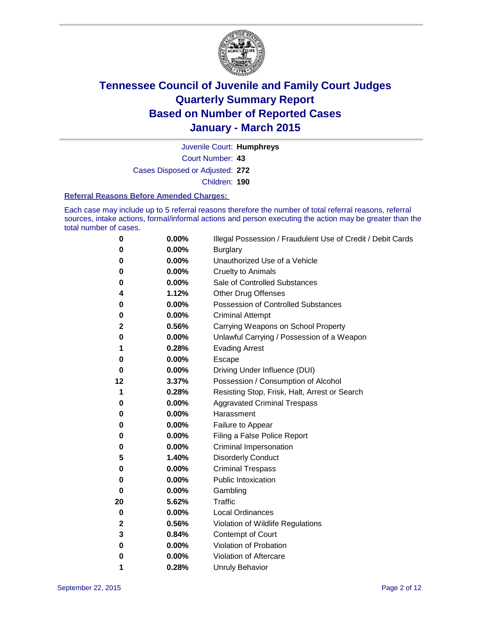

Court Number: **43** Juvenile Court: **Humphreys** Cases Disposed or Adjusted: **272** Children: **190**

#### **Referral Reasons Before Amended Charges:**

Each case may include up to 5 referral reasons therefore the number of total referral reasons, referral sources, intake actions, formal/informal actions and person executing the action may be greater than the total number of cases.

| 0        | 0.00% | Illegal Possession / Fraudulent Use of Credit / Debit Cards |
|----------|-------|-------------------------------------------------------------|
| 0        | 0.00% | <b>Burglary</b>                                             |
| 0        | 0.00% | Unauthorized Use of a Vehicle                               |
| 0        | 0.00% | <b>Cruelty to Animals</b>                                   |
| 0        | 0.00% | Sale of Controlled Substances                               |
| 4        | 1.12% | <b>Other Drug Offenses</b>                                  |
| 0        | 0.00% | <b>Possession of Controlled Substances</b>                  |
| 0        | 0.00% | <b>Criminal Attempt</b>                                     |
| 2        | 0.56% | Carrying Weapons on School Property                         |
| 0        | 0.00% | Unlawful Carrying / Possession of a Weapon                  |
| 1        | 0.28% | <b>Evading Arrest</b>                                       |
| 0        | 0.00% | Escape                                                      |
| 0        | 0.00% | Driving Under Influence (DUI)                               |
| 12       | 3.37% | Possession / Consumption of Alcohol                         |
| 1        | 0.28% | Resisting Stop, Frisk, Halt, Arrest or Search               |
| 0        | 0.00% | <b>Aggravated Criminal Trespass</b>                         |
| 0        | 0.00% | Harassment                                                  |
| 0        | 0.00% | Failure to Appear                                           |
| 0        | 0.00% | Filing a False Police Report                                |
| 0        | 0.00% | Criminal Impersonation                                      |
| 5        | 1.40% | <b>Disorderly Conduct</b>                                   |
| 0        | 0.00% | <b>Criminal Trespass</b>                                    |
| 0        | 0.00% | <b>Public Intoxication</b>                                  |
| $\bf{0}$ | 0.00% | Gambling                                                    |
| 20       | 5.62% | <b>Traffic</b>                                              |
| 0        | 0.00% | <b>Local Ordinances</b>                                     |
| 2        | 0.56% | Violation of Wildlife Regulations                           |
| 3        | 0.84% | Contempt of Court                                           |
| 0        | 0.00% | Violation of Probation                                      |
| 0        | 0.00% | Violation of Aftercare                                      |
| 1        | 0.28% | <b>Unruly Behavior</b>                                      |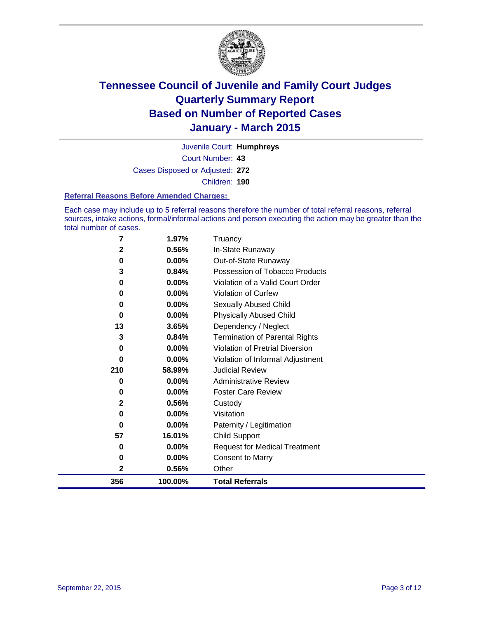

Court Number: **43** Juvenile Court: **Humphreys** Cases Disposed or Adjusted: **272** Children: **190**

#### **Referral Reasons Before Amended Charges:**

Each case may include up to 5 referral reasons therefore the number of total referral reasons, referral sources, intake actions, formal/informal actions and person executing the action may be greater than the total number of cases.

| 7            | 1.97%    | Truancy                                |
|--------------|----------|----------------------------------------|
| 2            | 0.56%    | In-State Runaway                       |
| 0            | 0.00%    | Out-of-State Runaway                   |
| 3            | 0.84%    | Possession of Tobacco Products         |
| 0            | $0.00\%$ | Violation of a Valid Court Order       |
| 0            | 0.00%    | <b>Violation of Curfew</b>             |
| 0            | 0.00%    | Sexually Abused Child                  |
| 0            | 0.00%    | <b>Physically Abused Child</b>         |
| 13           | 3.65%    | Dependency / Neglect                   |
| 3            | 0.84%    | <b>Termination of Parental Rights</b>  |
| 0            | 0.00%    | <b>Violation of Pretrial Diversion</b> |
| 0            | 0.00%    | Violation of Informal Adjustment       |
| 210          | 58.99%   | <b>Judicial Review</b>                 |
| 0            | 0.00%    | <b>Administrative Review</b>           |
| 0            | 0.00%    | <b>Foster Care Review</b>              |
| $\mathbf{2}$ | 0.56%    | Custody                                |
| 0            | $0.00\%$ | Visitation                             |
| 0            | 0.00%    | Paternity / Legitimation               |
| 57           | 16.01%   | <b>Child Support</b>                   |
| 0            | 0.00%    | <b>Request for Medical Treatment</b>   |
| 0            | 0.00%    | <b>Consent to Marry</b>                |
| 2            | 0.56%    | Other                                  |
| 356          | 100.00%  | <b>Total Referrals</b>                 |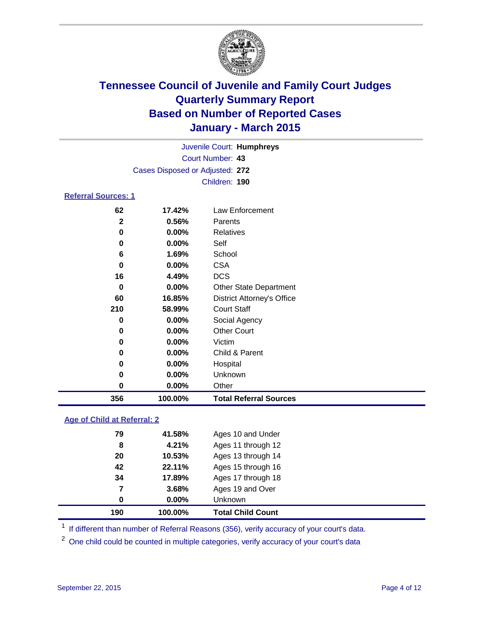

| Juvenile Court: Humphreys       |  |
|---------------------------------|--|
| Court Number: 43                |  |
| Cases Disposed or Adjusted: 272 |  |
| Children: 190                   |  |

#### **Referral Sources: 1**

| 356      | 100.00%  | <b>Total Referral Sources</b>     |
|----------|----------|-----------------------------------|
| 0        | $0.00\%$ | Other                             |
| 0        | $0.00\%$ | Unknown                           |
| 0        | $0.00\%$ | Hospital                          |
| 0        | $0.00\%$ | Child & Parent                    |
| 0        | 0.00%    | Victim                            |
| 0        | $0.00\%$ | <b>Other Court</b>                |
| 0        | $0.00\%$ | Social Agency                     |
| 210      | 58.99%   | <b>Court Staff</b>                |
| 60       | 16.85%   | <b>District Attorney's Office</b> |
| 0        | $0.00\%$ | <b>Other State Department</b>     |
| 16       | 4.49%    | <b>DCS</b>                        |
| $\bf{0}$ | $0.00\%$ | <b>CSA</b>                        |
| 6        | 1.69%    | School                            |
| 0        | $0.00\%$ | Self                              |
| 0        | 0.00%    | Relatives                         |
| 2        | 0.56%    | Parents                           |
| 62       | 17.42%   | Law Enforcement                   |

### **Age of Child at Referral: 2**

| 190 | 100.00%  | <b>Total Child Count</b> |
|-----|----------|--------------------------|
| 0   | $0.00\%$ | Unknown                  |
| 7   | 3.68%    | Ages 19 and Over         |
| 34  | 17.89%   | Ages 17 through 18       |
| 42  | 22.11%   | Ages 15 through 16       |
| 20  | 10.53%   | Ages 13 through 14       |
| 8   | 4.21%    | Ages 11 through 12       |
| 79  | 41.58%   | Ages 10 and Under        |

<sup>1</sup> If different than number of Referral Reasons (356), verify accuracy of your court's data.

One child could be counted in multiple categories, verify accuracy of your court's data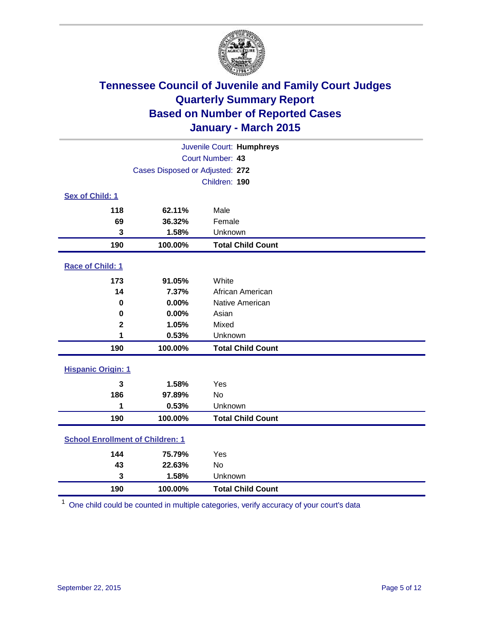

| Juvenile Court: Humphreys               |                                 |                          |  |  |
|-----------------------------------------|---------------------------------|--------------------------|--|--|
|                                         | Court Number: 43                |                          |  |  |
|                                         | Cases Disposed or Adjusted: 272 |                          |  |  |
|                                         |                                 | Children: 190            |  |  |
| Sex of Child: 1                         |                                 |                          |  |  |
| 118                                     | 62.11%                          | Male                     |  |  |
| 69                                      | 36.32%                          | Female                   |  |  |
| 3                                       | 1.58%                           | Unknown                  |  |  |
| 190                                     | 100.00%                         | <b>Total Child Count</b> |  |  |
| Race of Child: 1                        |                                 |                          |  |  |
| 173                                     | 91.05%                          | White                    |  |  |
| 14                                      | 7.37%                           | African American         |  |  |
| $\bf{0}$                                | 0.00%                           | Native American          |  |  |
| $\bf{0}$                                | 0.00%                           | Asian                    |  |  |
| $\overline{\mathbf{2}}$                 | 1.05%                           | Mixed                    |  |  |
| 1                                       | 0.53%                           | Unknown                  |  |  |
| 190                                     | 100.00%                         | <b>Total Child Count</b> |  |  |
| <b>Hispanic Origin: 1</b>               |                                 |                          |  |  |
| 3                                       | 1.58%                           | Yes                      |  |  |
| 186                                     | 97.89%                          | <b>No</b>                |  |  |
| 1                                       | 0.53%                           | Unknown                  |  |  |
| 190                                     | 100.00%                         | <b>Total Child Count</b> |  |  |
| <b>School Enrollment of Children: 1</b> |                                 |                          |  |  |
| 144                                     | 75.79%                          | Yes                      |  |  |
| 43                                      | 22.63%                          | No                       |  |  |
| 3                                       | 1.58%                           | Unknown                  |  |  |
| 190                                     | 100.00%                         | <b>Total Child Count</b> |  |  |

One child could be counted in multiple categories, verify accuracy of your court's data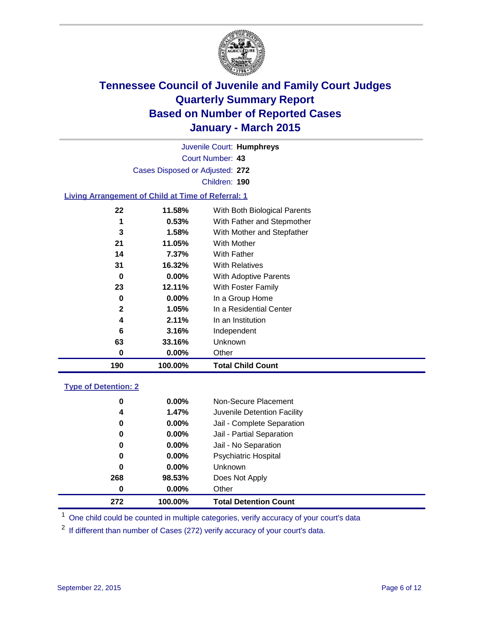

Court Number: **43** Juvenile Court: **Humphreys** Cases Disposed or Adjusted: **272** Children: **190**

### **Living Arrangement of Child at Time of Referral: 1**

| 190          | 100.00%  | <b>Total Child Count</b>     |
|--------------|----------|------------------------------|
| 0            | $0.00\%$ | Other                        |
| 63           | 33.16%   | Unknown                      |
| 6            | 3.16%    | Independent                  |
| 4            | 2.11%    | In an Institution            |
| $\mathbf{2}$ | 1.05%    | In a Residential Center      |
| 0            | $0.00\%$ | In a Group Home              |
| 23           | 12.11%   | With Foster Family           |
| 0            | $0.00\%$ | With Adoptive Parents        |
| 31           | 16.32%   | <b>With Relatives</b>        |
| 14           | 7.37%    | With Father                  |
| 21           | 11.05%   | With Mother                  |
| 3            | 1.58%    | With Mother and Stepfather   |
| 1            | 0.53%    | With Father and Stepmother   |
| 22           | 11.58%   | With Both Biological Parents |
|              |          |                              |

### **Type of Detention: 2**

| 0        | $0.00\%$ | Non-Secure Placement         |  |
|----------|----------|------------------------------|--|
| 4        | 1.47%    | Juvenile Detention Facility  |  |
| 0        | $0.00\%$ | Jail - Complete Separation   |  |
| 0        | 0.00%    | Jail - Partial Separation    |  |
| 0        | $0.00\%$ | Jail - No Separation         |  |
| 0        | $0.00\%$ | <b>Psychiatric Hospital</b>  |  |
| 0        | $0.00\%$ | <b>Unknown</b>               |  |
| 268      | 98.53%   | Does Not Apply               |  |
| $\bf{0}$ | $0.00\%$ | Other                        |  |
| 272      | 100.00%  | <b>Total Detention Count</b> |  |

<sup>1</sup> One child could be counted in multiple categories, verify accuracy of your court's data

If different than number of Cases (272) verify accuracy of your court's data.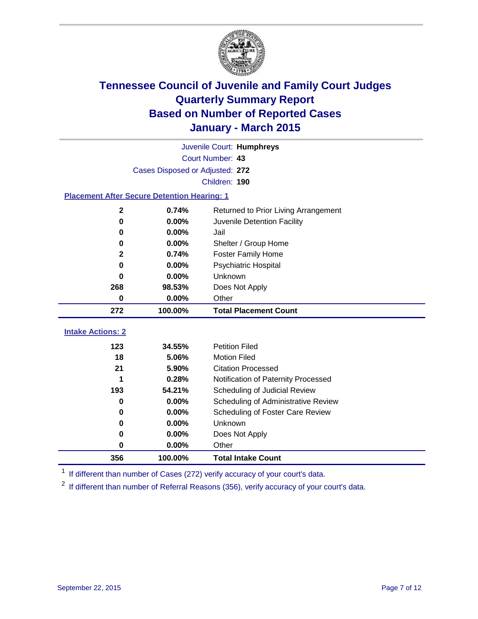

|                                                    | Juvenile Court: Humphreys       |                                      |  |  |  |
|----------------------------------------------------|---------------------------------|--------------------------------------|--|--|--|
|                                                    | Court Number: 43                |                                      |  |  |  |
|                                                    | Cases Disposed or Adjusted: 272 |                                      |  |  |  |
|                                                    |                                 | Children: 190                        |  |  |  |
| <b>Placement After Secure Detention Hearing: 1</b> |                                 |                                      |  |  |  |
| $\mathbf{2}$                                       | 0.74%                           | Returned to Prior Living Arrangement |  |  |  |
| $\bf{0}$                                           | 0.00%                           | Juvenile Detention Facility          |  |  |  |
| 0                                                  | 0.00%                           | Jail                                 |  |  |  |
| 0                                                  | 0.00%                           | Shelter / Group Home                 |  |  |  |
| $\mathbf{2}$                                       | 0.74%                           | <b>Foster Family Home</b>            |  |  |  |
| $\bf{0}$                                           | 0.00%                           | Psychiatric Hospital                 |  |  |  |
| 0                                                  | 0.00%                           | Unknown                              |  |  |  |
| 268                                                | 98.53%                          | Does Not Apply                       |  |  |  |
| $\bf{0}$                                           | 0.00%                           | Other                                |  |  |  |
| 272                                                | 100.00%                         | <b>Total Placement Count</b>         |  |  |  |
| <b>Intake Actions: 2</b>                           |                                 |                                      |  |  |  |
|                                                    |                                 |                                      |  |  |  |
| 123                                                | 34.55%                          | <b>Petition Filed</b>                |  |  |  |
| 18                                                 | 5.06%                           | <b>Motion Filed</b>                  |  |  |  |
| 21                                                 | 5.90%                           | <b>Citation Processed</b>            |  |  |  |
|                                                    | 0.28%                           | Notification of Paternity Processed  |  |  |  |
| 193                                                | 54.21%                          | Scheduling of Judicial Review        |  |  |  |
| $\bf{0}$                                           | 0.00%                           | Scheduling of Administrative Review  |  |  |  |
| 0                                                  | 0.00%                           | Scheduling of Foster Care Review     |  |  |  |
| 0                                                  | 0.00%                           | Unknown                              |  |  |  |
| 0                                                  | 0.00%                           | Does Not Apply                       |  |  |  |
| 0                                                  | 0.00%                           | Other                                |  |  |  |
| 356                                                | 100.00%                         | <b>Total Intake Count</b>            |  |  |  |

<sup>1</sup> If different than number of Cases (272) verify accuracy of your court's data.

If different than number of Referral Reasons (356), verify accuracy of your court's data.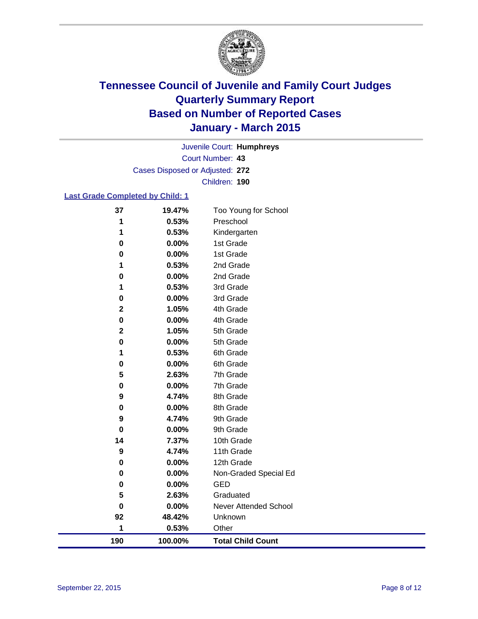

Court Number: **43** Juvenile Court: **Humphreys** Cases Disposed or Adjusted: **272** Children: **190**

#### **Last Grade Completed by Child: 1**

| 190         | 100.00%        | <b>Total Child Count</b>     |
|-------------|----------------|------------------------------|
| 1           | 0.53%          | Other                        |
| 92          | 48.42%         | Unknown                      |
| 0           | 0.00%          | <b>Never Attended School</b> |
| 5           | 2.63%          | Graduated                    |
| 0           | 0.00%          | <b>GED</b>                   |
| 0           | 0.00%          | Non-Graded Special Ed        |
| 0           | 0.00%          | 12th Grade                   |
| 9           | 4.74%          | 11th Grade                   |
| 14          | 7.37%          | 10th Grade                   |
| 0           | 0.00%          | 9th Grade                    |
| 9           | 4.74%          | 9th Grade                    |
| 0           | 0.00%          | 8th Grade                    |
| 9           | 4.74%          | 8th Grade                    |
| 0           | 0.00%          | 7th Grade                    |
| 5           | 2.63%          | 7th Grade                    |
| 0           | 0.00%          | 6th Grade                    |
| 0<br>1      | 0.00%<br>0.53% | 5th Grade<br>6th Grade       |
| $\mathbf 2$ | 1.05%          | 5th Grade                    |
| 0           | 0.00%          | 4th Grade                    |
| $\mathbf 2$ | 1.05%          | 4th Grade                    |
| 0           | 0.00%          | 3rd Grade                    |
| 1           | 0.53%          | 3rd Grade                    |
| 0           | 0.00%          | 2nd Grade                    |
| 1           | 0.53%          | 2nd Grade                    |
| 0           | 0.00%          | 1st Grade                    |
| 0           | 0.00%          | 1st Grade                    |
| 1           | 0.53%          | Kindergarten                 |
| 1           | 0.53%          | Preschool                    |
| 37          | 19.47%         | Too Young for School         |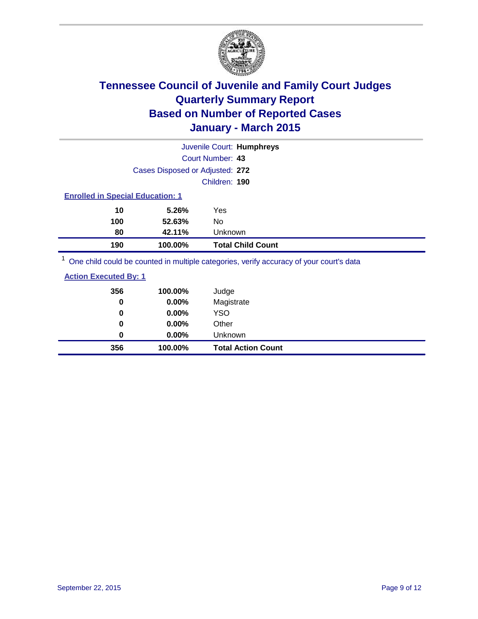

|                                         |                                 | Juvenile Court: Humphreys |
|-----------------------------------------|---------------------------------|---------------------------|
|                                         |                                 | Court Number: 43          |
|                                         | Cases Disposed or Adjusted: 272 |                           |
|                                         |                                 | Children: 190             |
| <b>Enrolled in Special Education: 1</b> |                                 |                           |
| 10                                      | 5.26%                           | Yes                       |
| 100                                     | 52.63%                          | No.                       |
| 80                                      | 42.11%                          | <b>Unknown</b>            |
| 190                                     | 100.00%                         | <b>Total Child Count</b>  |
| $1 -$                                   |                                 |                           |

<sup>1</sup> One child could be counted in multiple categories, verify accuracy of your court's data

| <b>Action Executed By: 1</b> |  |
|------------------------------|--|
|------------------------------|--|

| 356         | 100.00%  | Judge                     |
|-------------|----------|---------------------------|
| 0           | 0.00%    | Magistrate                |
| 0           | $0.00\%$ | <b>YSO</b>                |
| $\mathbf 0$ | 0.00%    | Other                     |
| 0           | $0.00\%$ | Unknown                   |
| 356         | 100.00%  | <b>Total Action Count</b> |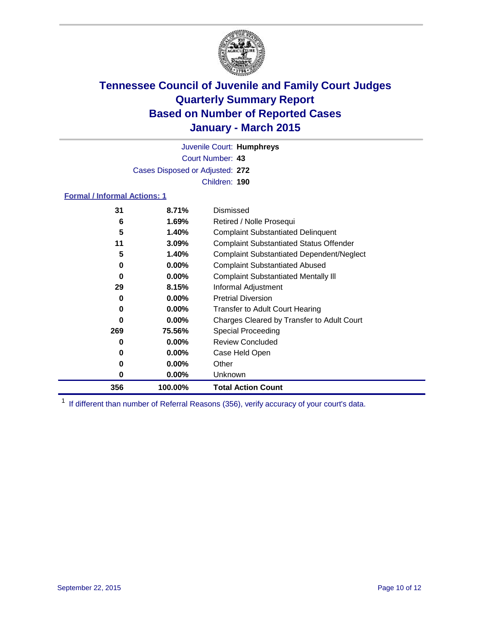

Court Number: **43** Juvenile Court: **Humphreys** Cases Disposed or Adjusted: **272** Children: **190**

### **Formal / Informal Actions: 1**

| 31  | 8.71%    | Dismissed                                        |
|-----|----------|--------------------------------------------------|
| 6   | 1.69%    | Retired / Nolle Prosequi                         |
| 5   | 1.40%    | <b>Complaint Substantiated Delinquent</b>        |
| 11  | 3.09%    | <b>Complaint Substantiated Status Offender</b>   |
| 5   | 1.40%    | <b>Complaint Substantiated Dependent/Neglect</b> |
| 0   | $0.00\%$ | <b>Complaint Substantiated Abused</b>            |
| 0   | $0.00\%$ | <b>Complaint Substantiated Mentally III</b>      |
| 29  | 8.15%    | Informal Adjustment                              |
| 0   | $0.00\%$ | <b>Pretrial Diversion</b>                        |
| 0   | $0.00\%$ | <b>Transfer to Adult Court Hearing</b>           |
| 0   | $0.00\%$ | Charges Cleared by Transfer to Adult Court       |
| 269 | 75.56%   | <b>Special Proceeding</b>                        |
| 0   | $0.00\%$ | <b>Review Concluded</b>                          |
| 0   | $0.00\%$ | Case Held Open                                   |
| 0   | $0.00\%$ | Other                                            |
| 0   | $0.00\%$ | Unknown                                          |
| 356 | 100.00%  | <b>Total Action Count</b>                        |

<sup>1</sup> If different than number of Referral Reasons (356), verify accuracy of your court's data.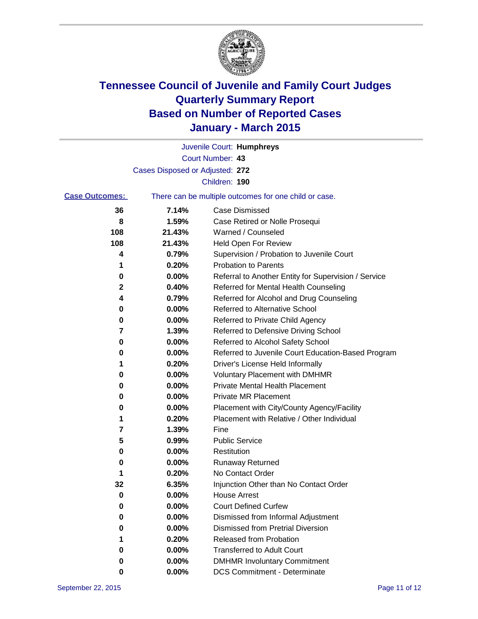

|                       |                                 | Juvenile Court: Humphreys                             |
|-----------------------|---------------------------------|-------------------------------------------------------|
|                       |                                 | Court Number: 43                                      |
|                       | Cases Disposed or Adjusted: 272 |                                                       |
|                       |                                 | Children: 190                                         |
| <b>Case Outcomes:</b> |                                 | There can be multiple outcomes for one child or case. |
| 36                    | 7.14%                           | <b>Case Dismissed</b>                                 |
| 8                     | 1.59%                           | Case Retired or Nolle Prosequi                        |
| 108                   | 21.43%                          | Warned / Counseled                                    |
| 108                   | 21.43%                          | Held Open For Review                                  |
| 4                     | 0.79%                           | Supervision / Probation to Juvenile Court             |
| 1                     | 0.20%                           | <b>Probation to Parents</b>                           |
| 0                     | 0.00%                           | Referral to Another Entity for Supervision / Service  |
| 2                     | 0.40%                           | Referred for Mental Health Counseling                 |
| 4                     | 0.79%                           | Referred for Alcohol and Drug Counseling              |
| 0                     | 0.00%                           | Referred to Alternative School                        |
| 0                     | 0.00%                           | Referred to Private Child Agency                      |
| 7                     | 1.39%                           | Referred to Defensive Driving School                  |
| 0                     | 0.00%                           | Referred to Alcohol Safety School                     |
| 0                     | 0.00%                           | Referred to Juvenile Court Education-Based Program    |
| 1                     | 0.20%                           | Driver's License Held Informally                      |
| 0                     | 0.00%                           | <b>Voluntary Placement with DMHMR</b>                 |
| 0                     | 0.00%                           | <b>Private Mental Health Placement</b>                |
| 0                     | 0.00%                           | Private MR Placement                                  |
| 0                     | 0.00%                           | Placement with City/County Agency/Facility            |
| 1                     | 0.20%                           | Placement with Relative / Other Individual            |
| 7                     | 1.39%                           | Fine                                                  |
| 5                     | 0.99%                           | <b>Public Service</b>                                 |
| 0                     | 0.00%                           | Restitution                                           |
| 0                     | 0.00%                           | <b>Runaway Returned</b>                               |
| 1                     | 0.20%                           | No Contact Order                                      |
| 32                    | 6.35%                           | Injunction Other than No Contact Order                |
| 0                     | $0.00\%$                        | <b>House Arrest</b>                                   |
| 0                     | 0.00%                           | <b>Court Defined Curfew</b>                           |
| 0                     | 0.00%                           | Dismissed from Informal Adjustment                    |
| 0                     | 0.00%                           | <b>Dismissed from Pretrial Diversion</b>              |
| 1                     | 0.20%                           | Released from Probation                               |
| 0                     | 0.00%                           | <b>Transferred to Adult Court</b>                     |
| 0                     | 0.00%                           | <b>DMHMR Involuntary Commitment</b>                   |
| 0                     | $0.00\%$                        | <b>DCS Commitment - Determinate</b>                   |